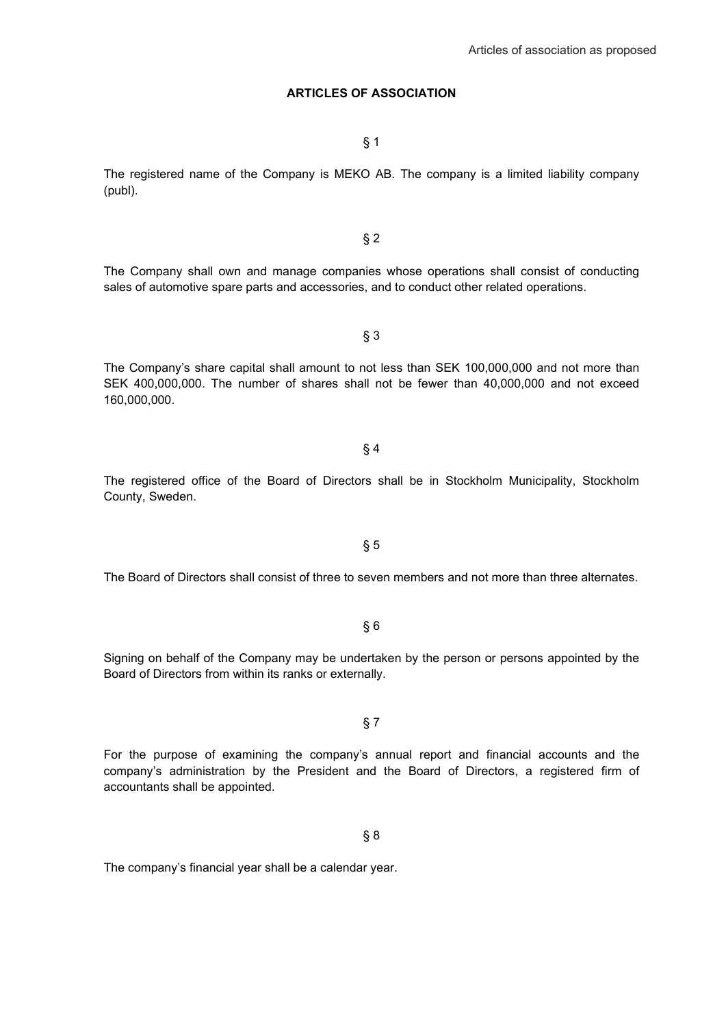### **ARTICLES OF ASSOCIATION**

§ 1

The registered name of the Company is MEKO AB. The company is a limited liability company (publ).

The Company shall own and manage companies whose operations shall consist of conducting sales of automotive spare parts and accessories, and to conduct other related operations.

The Company's share capital shall amount to not less than SEK 100,000,000 and not more than SEK 400,000,000. The number of shares shall not be fewer than 40,000,000 and not exceed 160,000,000.

§ 3

The registered office of the Board of Directors shall be in Stockholm Municipality, Stockholm County, Sweden.

§ 4

The Board of Directors shall consist of three to seven members and not more than three alternates.

§ 6

Signing on behalf of the Company may be undertaken by the person or persons appointed by the Board of Directors from within its ranks or externally.

For the purpose of examining the company's annual report and financial accounts and the company's administration by the President and the Board of Directors, a registered firm of accountants shall be appointed.

§ 8

§ 7

The company's financial year shall be a calendar year.

§ 2

§ 5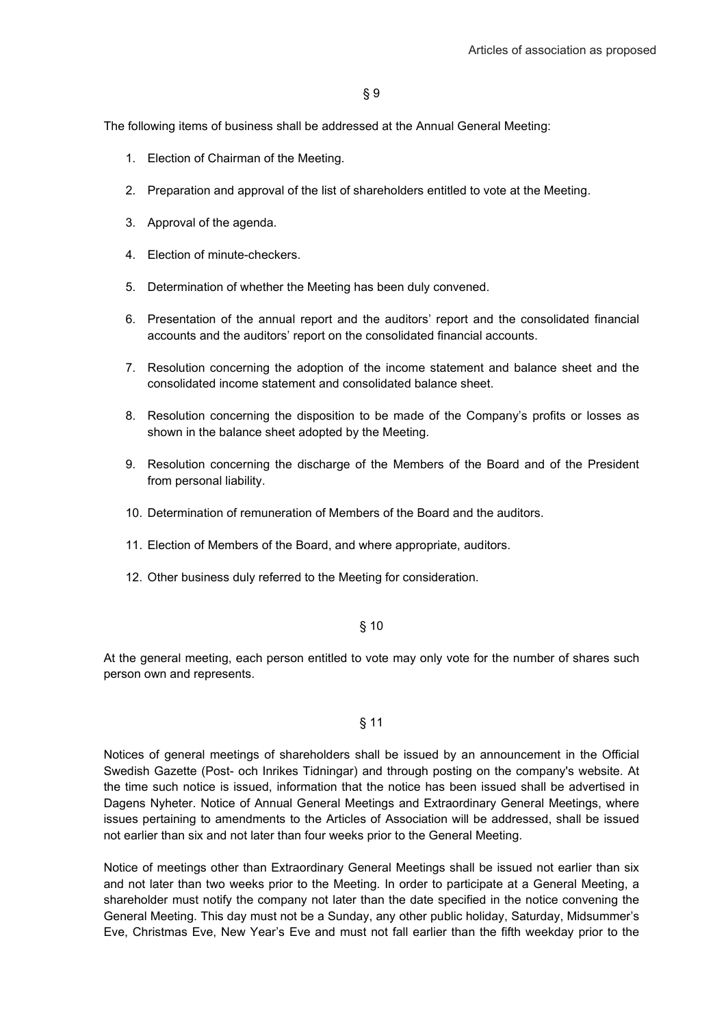The following items of business shall be addressed at the Annual General Meeting:

- 1. Election of Chairman of the Meeting.
- 2. Preparation and approval of the list of shareholders entitled to vote at the Meeting.
- 3. Approval of the agenda.
- 4. Election of minute-checkers.
- 5. Determination of whether the Meeting has been duly convened.
- 6. Presentation of the annual report and the auditors' report and the consolidated financial accounts and the auditors' report on the consolidated financial accounts.
- 7. Resolution concerning the adoption of the income statement and balance sheet and the consolidated income statement and consolidated balance sheet.
- 8. Resolution concerning the disposition to be made of the Company's profits or losses as shown in the balance sheet adopted by the Meeting.
- 9. Resolution concerning the discharge of the Members of the Board and of the President from personal liability.
- 10. Determination of remuneration of Members of the Board and the auditors.
- 11. Election of Members of the Board, and where appropriate, auditors.
- 12. Other business duly referred to the Meeting for consideration.

#### § 10

At the general meeting, each person entitled to vote may only vote for the number of shares such person own and represents.

#### § 11

Notices of general meetings of shareholders shall be issued by an announcement in the Official Swedish Gazette (Post- och Inrikes Tidningar) and through posting on the company's website. At the time such notice is issued, information that the notice has been issued shall be advertised in Dagens Nyheter. Notice of Annual General Meetings and Extraordinary General Meetings, where issues pertaining to amendments to the Articles of Association will be addressed, shall be issued not earlier than six and not later than four weeks prior to the General Meeting.

Notice of meetings other than Extraordinary General Meetings shall be issued not earlier than six and not later than two weeks prior to the Meeting. In order to participate at a General Meeting, a shareholder must notify the company not later than the date specified in the notice convening the General Meeting. This day must not be a Sunday, any other public holiday, Saturday, Midsummer's Eve, Christmas Eve, New Year's Eve and must not fall earlier than the fifth weekday prior to the